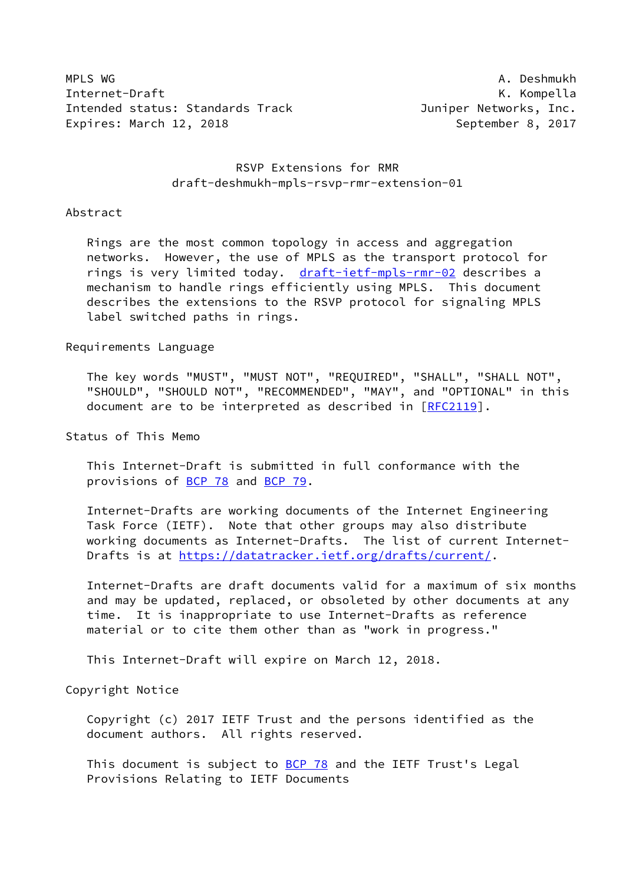MPLS WG A. Deshmukh Internet-Draft **K. Kompella** Intended status: Standards Track Track Juniper Networks, Inc. Expires: March 12, 2018 **September 8, 2017** 

## RSVP Extensions for RMR draft-deshmukh-mpls-rsvp-rmr-extension-01

### Abstract

 Rings are the most common topology in access and aggregation networks. However, the use of MPLS as the transport protocol for rings is very limited today. [draft-ietf-mpls-rmr-02](https://datatracker.ietf.org/doc/pdf/draft-ietf-mpls-rmr-02) describes a mechanism to handle rings efficiently using MPLS. This document describes the extensions to the RSVP protocol for signaling MPLS label switched paths in rings.

### Requirements Language

 The key words "MUST", "MUST NOT", "REQUIRED", "SHALL", "SHALL NOT", "SHOULD", "SHOULD NOT", "RECOMMENDED", "MAY", and "OPTIONAL" in this document are to be interpreted as described in [\[RFC2119](https://datatracker.ietf.org/doc/pdf/rfc2119)].

Status of This Memo

 This Internet-Draft is submitted in full conformance with the provisions of [BCP 78](https://datatracker.ietf.org/doc/pdf/bcp78) and [BCP 79](https://datatracker.ietf.org/doc/pdf/bcp79).

 Internet-Drafts are working documents of the Internet Engineering Task Force (IETF). Note that other groups may also distribute working documents as Internet-Drafts. The list of current Internet- Drafts is at<https://datatracker.ietf.org/drafts/current/>.

 Internet-Drafts are draft documents valid for a maximum of six months and may be updated, replaced, or obsoleted by other documents at any time. It is inappropriate to use Internet-Drafts as reference material or to cite them other than as "work in progress."

This Internet-Draft will expire on March 12, 2018.

Copyright Notice

 Copyright (c) 2017 IETF Trust and the persons identified as the document authors. All rights reserved.

This document is subject to **[BCP 78](https://datatracker.ietf.org/doc/pdf/bcp78)** and the IETF Trust's Legal Provisions Relating to IETF Documents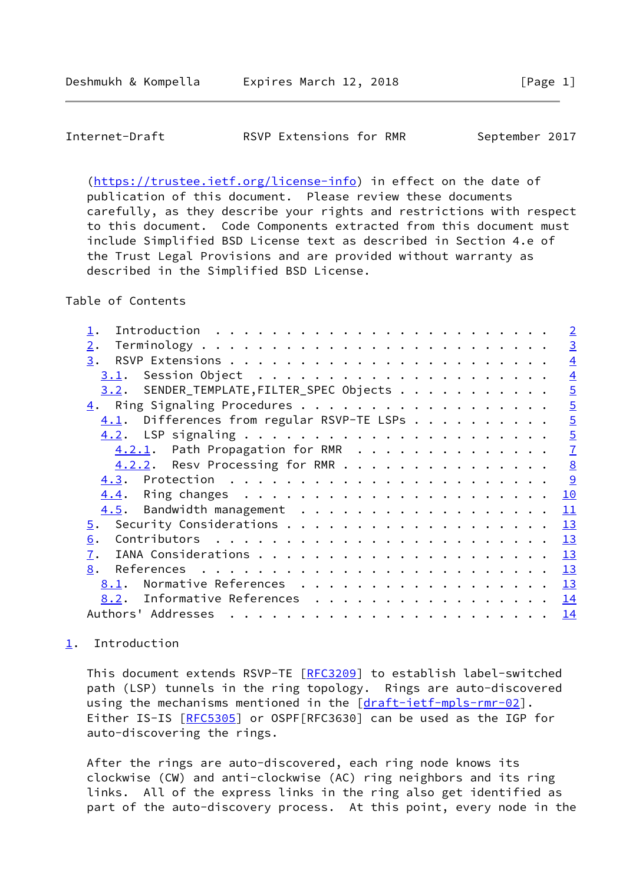<span id="page-1-1"></span> [\(https://trustee.ietf.org/license-info](https://trustee.ietf.org/license-info)) in effect on the date of publication of this document. Please review these documents carefully, as they describe your rights and restrictions with respect to this document. Code Components extracted from this document must include Simplified BSD License text as described in Section 4.e of the Trust Legal Provisions and are provided without warranty as described in the Simplified BSD License.

Table of Contents

|                                               | $\overline{2}$ |
|-----------------------------------------------|----------------|
| 2.                                            | $\overline{3}$ |
| 3.                                            | $\overline{4}$ |
| 3.1.                                          | $\overline{4}$ |
| 3.2. SENDER_TEMPLATE, FILTER_SPEC Objects     | $\overline{5}$ |
| 4. Ring Signaling Procedures                  | $\overline{5}$ |
| Differences from regular RSVP-TE LSPs<br>4.1. | $\overline{5}$ |
|                                               | $\overline{5}$ |
| 4.2.1. Path Propagation for RMR               | $\overline{1}$ |
| 4.2.2. Resv Processing for RMR                | $\frac{8}{2}$  |
|                                               | $\overline{9}$ |
|                                               | 10             |
| $4.5$ . Bandwidth management                  | 11             |
| 5.                                            | 13             |
| 6.                                            | 13             |
| 7.                                            | 13             |
| 8.                                            | 13             |
| Normative References<br>8.1.                  | 13             |
| Informative References 14<br>8.2.             |                |
| Authors' Addresses                            | 14             |
|                                               |                |

# <span id="page-1-0"></span>[1](#page-1-0). Introduction

This document extends RSVP-TE [[RFC3209](https://datatracker.ietf.org/doc/pdf/rfc3209)] to establish label-switched path (LSP) tunnels in the ring topology. Rings are auto-discovered using the mechanisms mentioned in the [[draft-ietf-mpls-rmr-02](https://datatracker.ietf.org/doc/pdf/draft-ietf-mpls-rmr-02)]. Either IS-IS [\[RFC5305](https://datatracker.ietf.org/doc/pdf/rfc5305)] or OSPF[RFC3630] can be used as the IGP for auto-discovering the rings.

 After the rings are auto-discovered, each ring node knows its clockwise (CW) and anti-clockwise (AC) ring neighbors and its ring links. All of the express links in the ring also get identified as part of the auto-discovery process. At this point, every node in the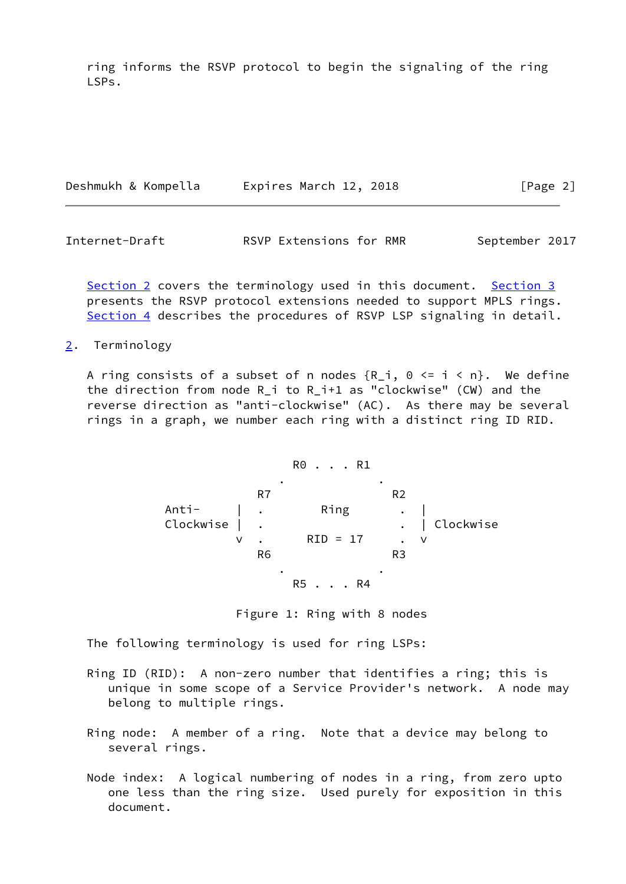ring informs the RSVP protocol to begin the signaling of the ring LSPs.

| Deshmukh & Kompella |  | Expires March 12, 2018 |  |  |  | [Page 2] |
|---------------------|--|------------------------|--|--|--|----------|
|---------------------|--|------------------------|--|--|--|----------|

<span id="page-2-1"></span>Internet-Draft **RSVP Extensions for RMR** September 2017

[Section 2](#page-2-0) covers the terminology used in this document. [Section 3](#page-3-0) presents the RSVP protocol extensions needed to support MPLS rings. [Section 4](#page-4-2) describes the procedures of RSVP LSP signaling in detail.

<span id="page-2-0"></span>[2](#page-2-0). Terminology

A ring consists of a subset of n nodes  $\{R_i, \theta \leq i \leq n\}$ . We define the direction from node R\_i to R\_i+1 as "clockwise" (CW) and the reverse direction as "anti-clockwise" (AC). As there may be several rings in a graph, we number each ring with a distinct ring ID RID.

$$
\mathsf{R0}\ \ldots\ \mathsf{R1}
$$

 . . expanding the R7 and R2 Anti- | . Ring . | Clockwise | . . . . . . . . . . . Clockwise v . RID = 17 . v R6 R3 . . R5 . . . R4

Figure 1: Ring with 8 nodes

The following terminology is used for ring LSPs:

- Ring ID (RID): A non-zero number that identifies a ring; this is unique in some scope of a Service Provider's network. A node may belong to multiple rings.
- Ring node: A member of a ring. Note that a device may belong to several rings.
- Node index: A logical numbering of nodes in a ring, from zero upto one less than the ring size. Used purely for exposition in this document.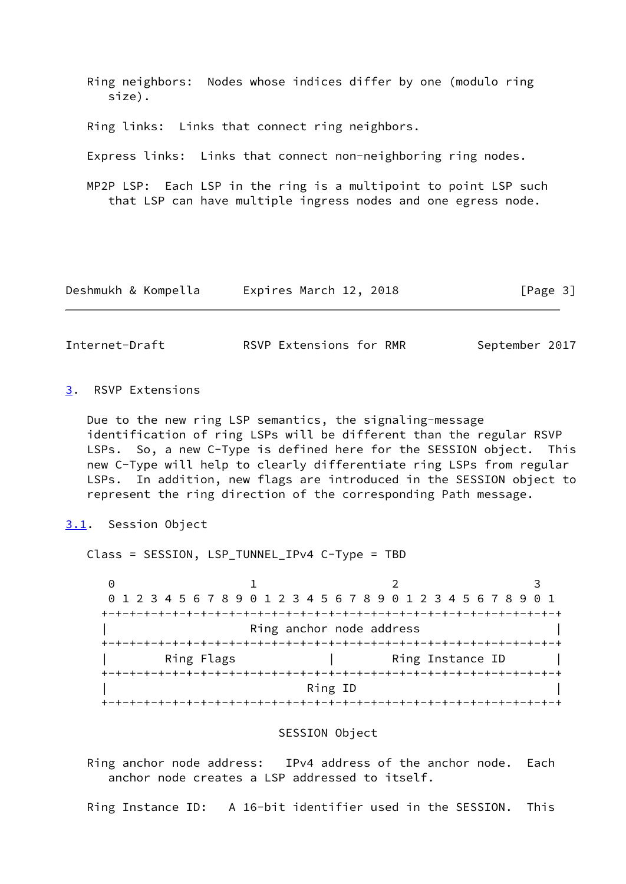Ring neighbors: Nodes whose indices differ by one (modulo ring size). Ring links: Links that connect ring neighbors. Express links: Links that connect non-neighboring ring nodes. MP2P LSP: Each LSP in the ring is a multipoint to point LSP such that LSP can have multiple ingress nodes and one egress node.

| Deshmukh & Kompella | Expires March 12, 2018 | [Page 3] |
|---------------------|------------------------|----------|
|---------------------|------------------------|----------|

<span id="page-3-1"></span>Internet-Draft **RSVP Extensions for RMR** September 2017

## <span id="page-3-0"></span>[3](#page-3-0). RSVP Extensions

 Due to the new ring LSP semantics, the signaling-message identification of ring LSPs will be different than the regular RSVP LSPs. So, a new C-Type is defined here for the SESSION object. This new C-Type will help to clearly differentiate ring LSPs from regular LSPs. In addition, new flags are introduced in the SESSION object to represent the ring direction of the corresponding Path message.

<span id="page-3-2"></span>[3.1](#page-3-2). Session Object

Class = SESSION, LSP\_TUNNEL\_IPv4 C-Type = TBD

0 1 2 3 0 1 2 3 4 5 6 7 8 9 0 1 2 3 4 5 6 7 8 9 0 1 2 3 4 5 6 7 8 9 0 1 +-+-+-+-+-+-+-+-+-+-+-+-+-+-+-+-+-+-+-+-+-+-+-+-+-+-+-+-+-+-+-+-+ Ring anchor node address +-+-+-+-+-+-+-+-+-+-+-+-+-+-+-+-+-+-+-+-+-+-+-+-+-+-+-+-+-+-+-+-+ Ring Flags | Ring Instance ID +-+-+-+-+-+-+-+-+-+-+-+-+-+-+-+-+-+-+-+-+-+-+-+-+-+-+-+-+-+-+-+-+ | Ring ID | +-+-+-+-+-+-+-+-+-+-+-+-+-+-+-+-+-+-+-+-+-+-+-+-+-+-+-+-+-+-+-+-+

### SESSION Object

 Ring anchor node address: IPv4 address of the anchor node. Each anchor node creates a LSP addressed to itself.

Ring Instance ID: A 16-bit identifier used in the SESSION. This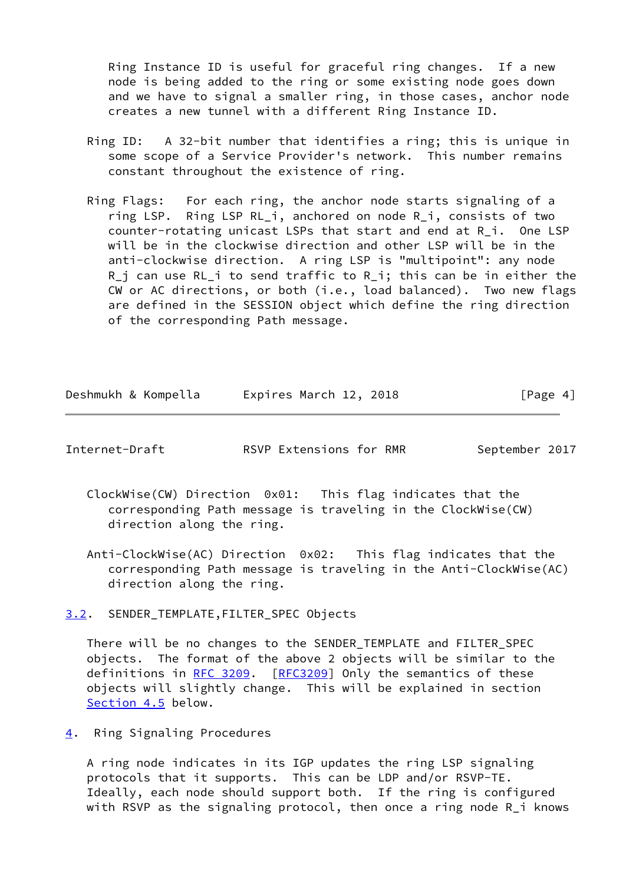Ring Instance ID is useful for graceful ring changes. If a new node is being added to the ring or some existing node goes down and we have to signal a smaller ring, in those cases, anchor node creates a new tunnel with a different Ring Instance ID.

- Ring ID: A 32-bit number that identifies a ring; this is unique in some scope of a Service Provider's network. This number remains constant throughout the existence of ring.
- Ring Flags: For each ring, the anchor node starts signaling of a ring LSP. Ring LSP RL\_i, anchored on node R\_i, consists of two counter-rotating unicast LSPs that start and end at R\_i. One LSP will be in the clockwise direction and other LSP will be in the anti-clockwise direction. A ring LSP is "multipoint": any node R\_j can use RL\_i to send traffic to R\_i; this can be in either the CW or AC directions, or both (i.e., load balanced). Two new flags are defined in the SESSION object which define the ring direction of the corresponding Path message.

| Deshmukh & Kompella |  | Expires March 12, 2018 | [Page 4] |
|---------------------|--|------------------------|----------|
|---------------------|--|------------------------|----------|

<span id="page-4-1"></span>Internet-Draft **RSVP Extensions for RMR** September 2017

- ClockWise(CW) Direction 0x01: This flag indicates that the corresponding Path message is traveling in the ClockWise(CW) direction along the ring.
- Anti-ClockWise(AC) Direction 0x02: This flag indicates that the corresponding Path message is traveling in the Anti-ClockWise(AC) direction along the ring.

<span id="page-4-0"></span>[3.2](#page-4-0). SENDER\_TEMPLATE,FILTER\_SPEC Objects

 There will be no changes to the SENDER\_TEMPLATE and FILTER\_SPEC objects. The format of the above 2 objects will be similar to the definitions in [RFC 3209.](https://datatracker.ietf.org/doc/pdf/rfc3209) [[RFC3209](https://datatracker.ietf.org/doc/pdf/rfc3209)] Only the semantics of these objects will slightly change. This will be explained in section [Section 4.5](#page-11-0) below.

<span id="page-4-2"></span>[4](#page-4-2). Ring Signaling Procedures

 A ring node indicates in its IGP updates the ring LSP signaling protocols that it supports. This can be LDP and/or RSVP-TE. Ideally, each node should support both. If the ring is configured with RSVP as the signaling protocol, then once a ring node R\_i knows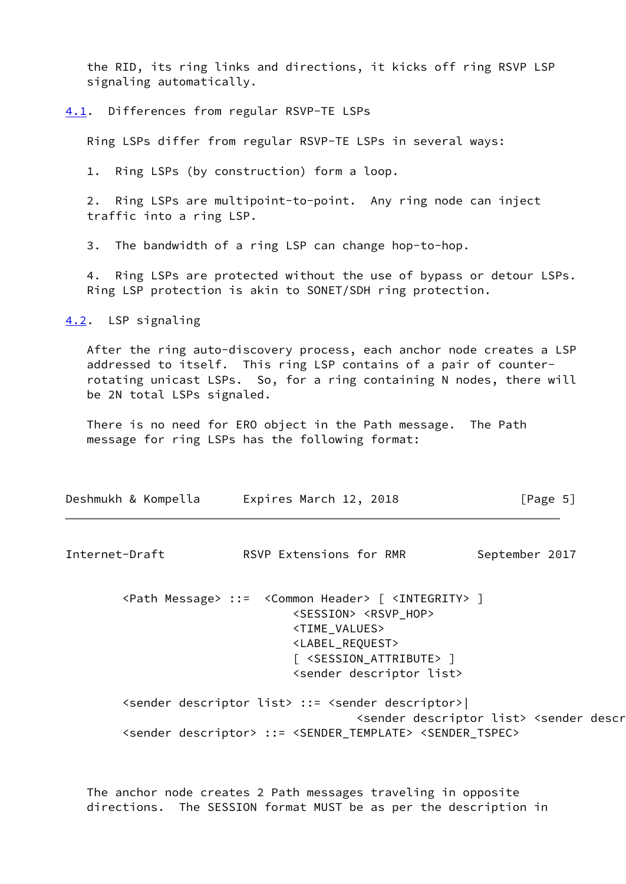the RID, its ring links and directions, it kicks off ring RSVP LSP signaling automatically.

<span id="page-5-0"></span>[4.1](#page-5-0). Differences from regular RSVP-TE LSPs

Ring LSPs differ from regular RSVP-TE LSPs in several ways:

1. Ring LSPs (by construction) form a loop.

 2. Ring LSPs are multipoint-to-point. Any ring node can inject traffic into a ring LSP.

3. The bandwidth of a ring LSP can change hop-to-hop.

 4. Ring LSPs are protected without the use of bypass or detour LSPs. Ring LSP protection is akin to SONET/SDH ring protection.

<span id="page-5-1"></span>[4.2](#page-5-1). LSP signaling

 After the ring auto-discovery process, each anchor node creates a LSP addressed to itself. This ring LSP contains of a pair of counter rotating unicast LSPs. So, for a ring containing N nodes, there will be 2N total LSPs signaled.

 There is no need for ERO object in the Path message. The Path message for ring LSPs has the following format:

| Expires March 12, 2018<br>Deshmukh & Kompella | [Page 5] |
|-----------------------------------------------|----------|
|-----------------------------------------------|----------|

Internet-Draft **RSVP Extensions for RMR** September 2017

 <Path Message> ::= <Common Header> [ <INTEGRITY> ] <SESSION> <RSVP\_HOP> <TIME\_VALUES> <LABEL\_REQUEST> [ <SESSION\_ATTRIBUTE> ] <sender descriptor list>

 <sender descriptor list> ::= <sender descriptor>| <sender descriptor list> <sender descriptor> <sender descriptor> ::= <SENDER\_TEMPLATE> <SENDER\_TSPEC>

 The anchor node creates 2 Path messages traveling in opposite directions. The SESSION format MUST be as per the description in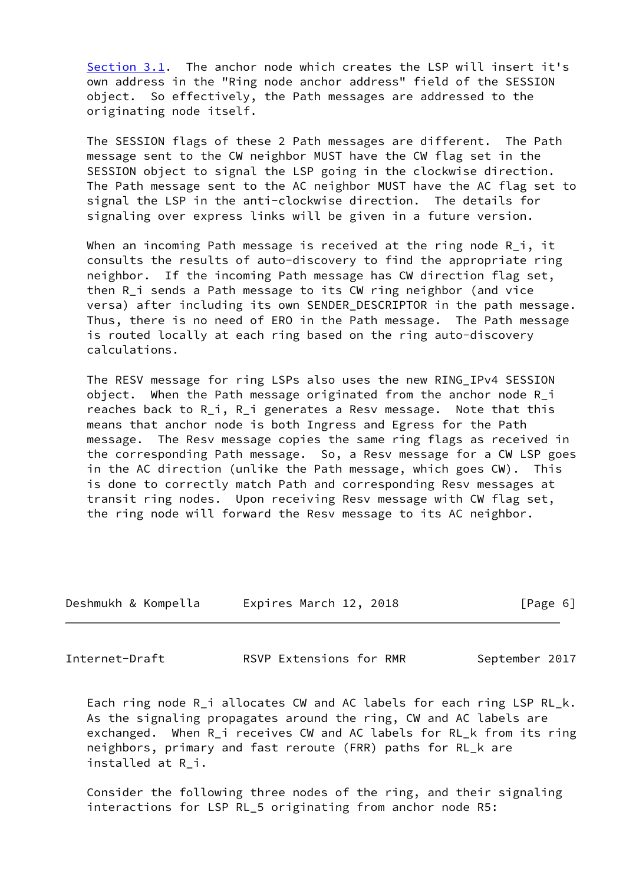[Section 3.1](#page-3-2). The anchor node which creates the LSP will insert it's own address in the "Ring node anchor address" field of the SESSION object. So effectively, the Path messages are addressed to the originating node itself.

 The SESSION flags of these 2 Path messages are different. The Path message sent to the CW neighbor MUST have the CW flag set in the SESSION object to signal the LSP going in the clockwise direction. The Path message sent to the AC neighbor MUST have the AC flag set to signal the LSP in the anti-clockwise direction. The details for signaling over express links will be given in a future version.

When an incoming Path message is received at the ring node R i, it consults the results of auto-discovery to find the appropriate ring neighbor. If the incoming Path message has CW direction flag set, then R i sends a Path message to its CW ring neighbor (and vice versa) after including its own SENDER DESCRIPTOR in the path message. Thus, there is no need of ERO in the Path message. The Path message is routed locally at each ring based on the ring auto-discovery calculations.

 The RESV message for ring LSPs also uses the new RING\_IPv4 SESSION object. When the Path message originated from the anchor node R\_i reaches back to R\_i, R\_i generates a Resv message. Note that this means that anchor node is both Ingress and Egress for the Path message. The Resv message copies the same ring flags as received in the corresponding Path message. So, a Resv message for a CW LSP goes in the AC direction (unlike the Path message, which goes CW). This is done to correctly match Path and corresponding Resv messages at transit ring nodes. Upon receiving Resv message with CW flag set, the ring node will forward the Resv message to its AC neighbor.

| Deshmukh & Kompella | Expires March 12, 2018 | [Page 6] |
|---------------------|------------------------|----------|
|---------------------|------------------------|----------|

<span id="page-6-0"></span>Internet-Draft RSVP Extensions for RMR September 2017

 Each ring node R\_i allocates CW and AC labels for each ring LSP RL\_k. As the signaling propagates around the ring, CW and AC labels are exchanged. When R i receives CW and AC labels for RL k from its ring neighbors, primary and fast reroute (FRR) paths for RL\_k are installed at R\_i.

 Consider the following three nodes of the ring, and their signaling interactions for LSP RL\_5 originating from anchor node R5: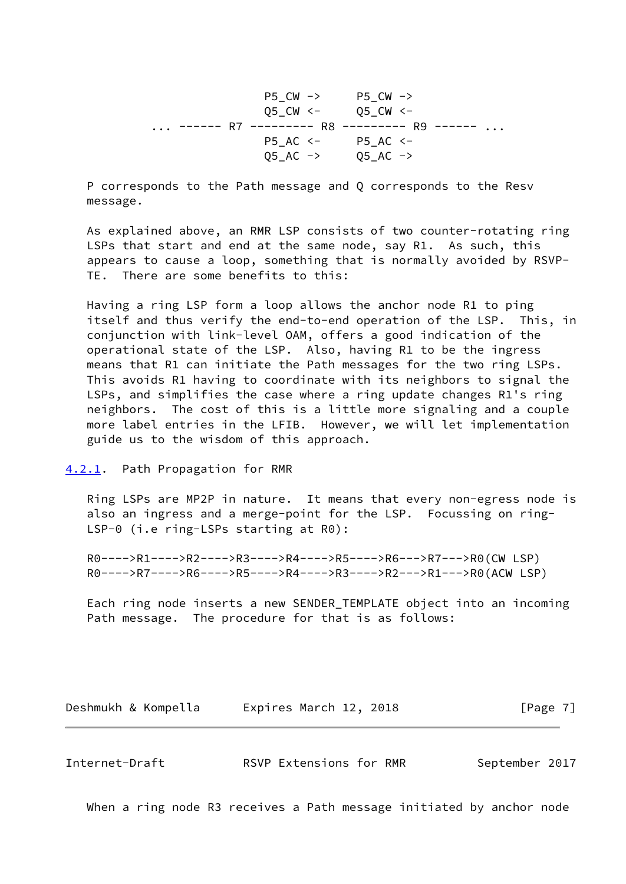P5\_CW -> P5\_CW -> Q5\_CW <- Q5\_CW <- ... ------ R7 --------- R8 --------- R9 ------ ... P5\_AC <- P5\_AC <-  $Q5\_AC$  ->  $Q5\_AC$  ->

 P corresponds to the Path message and Q corresponds to the Resv message.

 As explained above, an RMR LSP consists of two counter-rotating ring LSPs that start and end at the same node, say R1. As such, this appears to cause a loop, something that is normally avoided by RSVP- TE. There are some benefits to this:

 Having a ring LSP form a loop allows the anchor node R1 to ping itself and thus verify the end-to-end operation of the LSP. This, in conjunction with link-level OAM, offers a good indication of the operational state of the LSP. Also, having R1 to be the ingress means that R1 can initiate the Path messages for the two ring LSPs. This avoids R1 having to coordinate with its neighbors to signal the LSPs, and simplifies the case where a ring update changes R1's ring neighbors. The cost of this is a little more signaling and a couple more label entries in the LFIB. However, we will let implementation guide us to the wisdom of this approach.

### <span id="page-7-0"></span>[4.2.1](#page-7-0). Path Propagation for RMR

 Ring LSPs are MP2P in nature. It means that every non-egress node is also an ingress and a merge-point for the LSP. Focussing on ring- LSP-0 (i.e ring-LSPs starting at R0):

 R0---->R1---->R2---->R3---->R4---->R5---->R6--->R7--->R0(CW LSP) R0---->R7---->R6---->R5---->R4---->R3---->R2--->R1--->R0(ACW LSP)

 Each ring node inserts a new SENDER\_TEMPLATE object into an incoming Path message. The procedure for that is as follows:

Deshmukh & Kompella Expires March 12, 2018 [Page 7]

<span id="page-7-1"></span>Internet-Draft RSVP Extensions for RMR September 2017

When a ring node R3 receives a Path message initiated by anchor node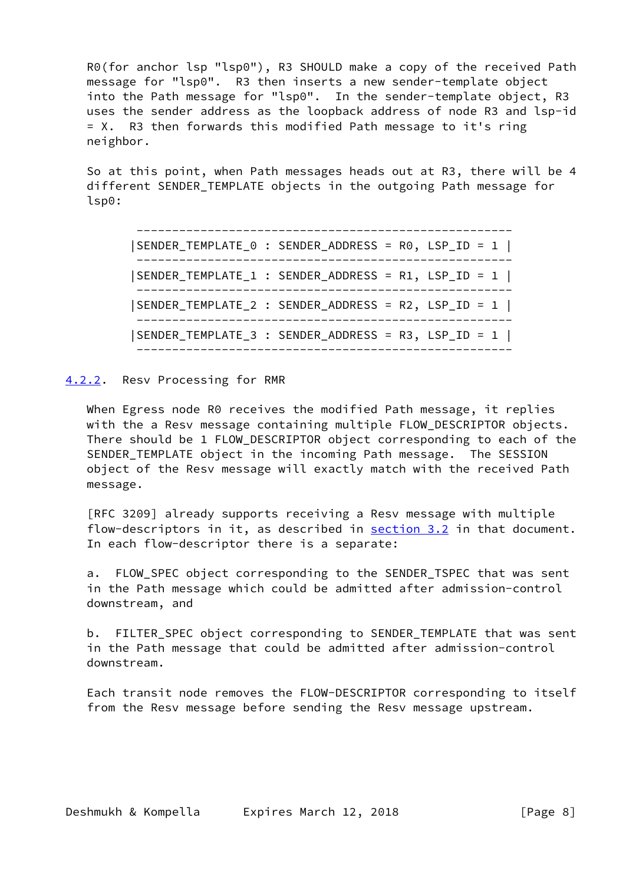R0(for anchor lsp "lsp0"), R3 SHOULD make a copy of the received Path message for "lsp0". R3 then inserts a new sender-template object into the Path message for "lsp0". In the sender-template object, R3 uses the sender address as the loopback address of node R3 and lsp-id = X. R3 then forwards this modified Path message to it's ring neighbor.

 So at this point, when Path messages heads out at R3, there will be 4 different SENDER\_TEMPLATE objects in the outgoing Path message for lsp0:

 ----------------------------------------------------- |SENDER\_TEMPLATE\_0 : SENDER\_ADDRESS = R0, LSP\_ID = 1 | ----------------------------------------------------- |SENDER\_TEMPLATE\_1 : SENDER\_ADDRESS = R1, LSP\_ID = 1 | ----------------------------------------------------- |SENDER\_TEMPLATE\_2 : SENDER\_ADDRESS = R2, LSP\_ID = 1 | ----------------------------------------------------- |SENDER\_TEMPLATE\_3 : SENDER\_ADDRESS = R3, LSP\_ID = 1 | -----------------------------------------------------

### <span id="page-8-0"></span>[4.2.2](#page-8-0). Resv Processing for RMR

 When Egress node R0 receives the modified Path message, it replies with the a Resv message containing multiple FLOW\_DESCRIPTOR objects. There should be 1 FLOW\_DESCRIPTOR object corresponding to each of the SENDER\_TEMPLATE object in the incoming Path message. The SESSION object of the Resv message will exactly match with the received Path message.

 [RFC 3209] already supports receiving a Resv message with multiple flow-descriptors in it, as described in [section 3.2](#page-4-0) in that document. In each flow-descriptor there is a separate:

a. FLOW SPEC object corresponding to the SENDER TSPEC that was sent in the Path message which could be admitted after admission-control downstream, and

 b. FILTER\_SPEC object corresponding to SENDER\_TEMPLATE that was sent in the Path message that could be admitted after admission-control downstream.

 Each transit node removes the FLOW-DESCRIPTOR corresponding to itself from the Resv message before sending the Resv message upstream.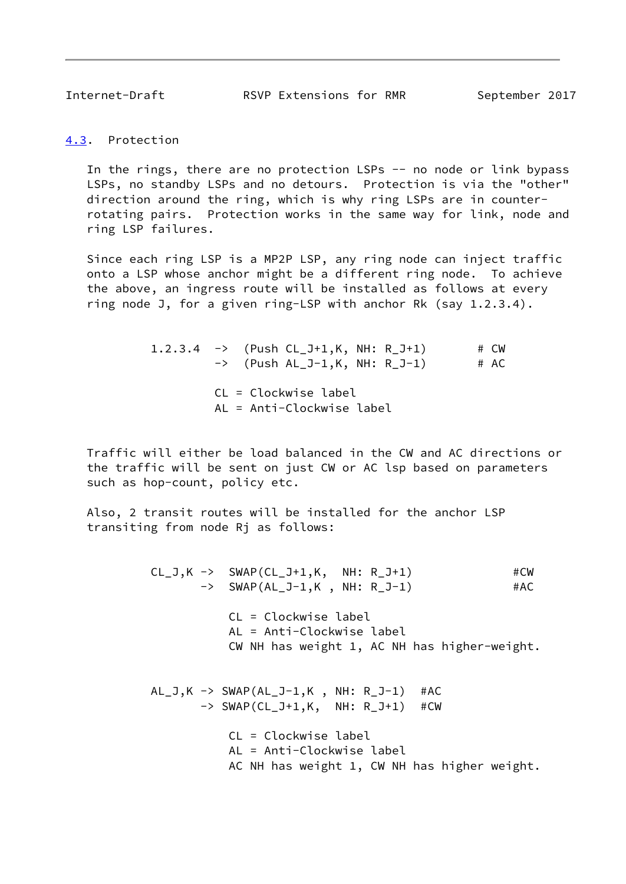<span id="page-9-1"></span>Internet-Draft RSVP Extensions for RMR September 2017

<span id="page-9-0"></span>[4.3](#page-9-0). Protection

In the rings, there are no protection LSPs -- no node or link bypass LSPs, no standby LSPs and no detours. Protection is via the "other" direction around the ring, which is why ring LSPs are in counter rotating pairs. Protection works in the same way for link, node and ring LSP failures.

 Since each ring LSP is a MP2P LSP, any ring node can inject traffic onto a LSP whose anchor might be a different ring node. To achieve the above, an ingress route will be installed as follows at every ring node J, for a given ring-LSP with anchor Rk (say 1.2.3.4).

> 1.2.3.4  $\rightarrow$  (Push CL\_J+1,K, NH: R\_J+1) # CW  $\rightarrow$  (Push AL\_J-1,K, NH: R\_J-1) # AC CL = Clockwise label AL = Anti-Clockwise label

 Traffic will either be load balanced in the CW and AC directions or the traffic will be sent on just CW or AC lsp based on parameters such as hop-count, policy etc.

 Also, 2 transit routes will be installed for the anchor LSP transiting from node Rj as follows:

> $CL_J,K \rightarrow \text{SWAP}(CL_J+1,K, \text{NH: } R_J+1)$  #CW -> SWAP(AL\_J-1,K, NH: R\_J-1) #AC CL = Clockwise label AL = Anti-Clockwise label CW NH has weight 1, AC NH has higher-weight.  $AL_J,K \rightarrow SWAP(AL_J-1,K, NH: R_J-1)$  #AC -> SWAP(CL\_J+1,K, NH: R\_J+1) #CW CL = Clockwise label AL = Anti-Clockwise label AC NH has weight 1, CW NH has higher weight.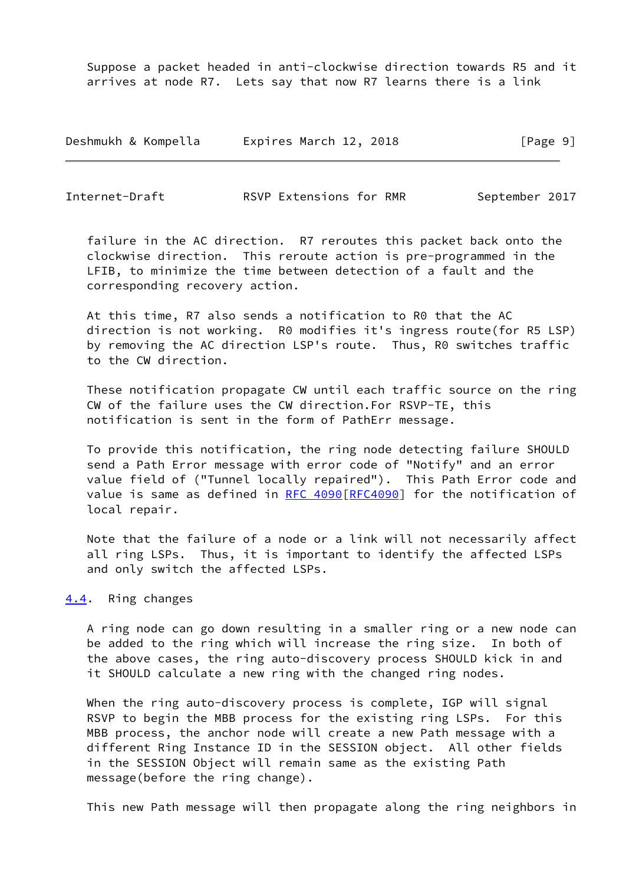Suppose a packet headed in anti-clockwise direction towards R5 and it arrives at node R7. Lets say that now R7 learns there is a link

Deshmukh & Kompella Expires March 12, 2018 [Page 9]

<span id="page-10-1"></span>Internet-Draft RSVP Extensions for RMR September 2017

 failure in the AC direction. R7 reroutes this packet back onto the clockwise direction. This reroute action is pre-programmed in the LFIB, to minimize the time between detection of a fault and the corresponding recovery action.

 At this time, R7 also sends a notification to R0 that the AC direction is not working. R0 modifies it's ingress route(for R5 LSP) by removing the AC direction LSP's route. Thus, R0 switches traffic to the CW direction.

 These notification propagate CW until each traffic source on the ring CW of the failure uses the CW direction.For RSVP-TE, this notification is sent in the form of PathErr message.

 To provide this notification, the ring node detecting failure SHOULD send a Path Error message with error code of "Notify" and an error value field of ("Tunnel locally repaired"). This Path Error code and value is same as defined in [RFC 4090\[RFC4090](https://datatracker.ietf.org/doc/pdf/rfc4090)] for the notification of local repair.

 Note that the failure of a node or a link will not necessarily affect all ring LSPs. Thus, it is important to identify the affected LSPs and only switch the affected LSPs.

## <span id="page-10-0"></span>[4.4](#page-10-0). Ring changes

 A ring node can go down resulting in a smaller ring or a new node can be added to the ring which will increase the ring size. In both of the above cases, the ring auto-discovery process SHOULD kick in and it SHOULD calculate a new ring with the changed ring nodes.

When the ring auto-discovery process is complete, IGP will signal RSVP to begin the MBB process for the existing ring LSPs. For this MBB process, the anchor node will create a new Path message with a different Ring Instance ID in the SESSION object. All other fields in the SESSION Object will remain same as the existing Path message(before the ring change).

This new Path message will then propagate along the ring neighbors in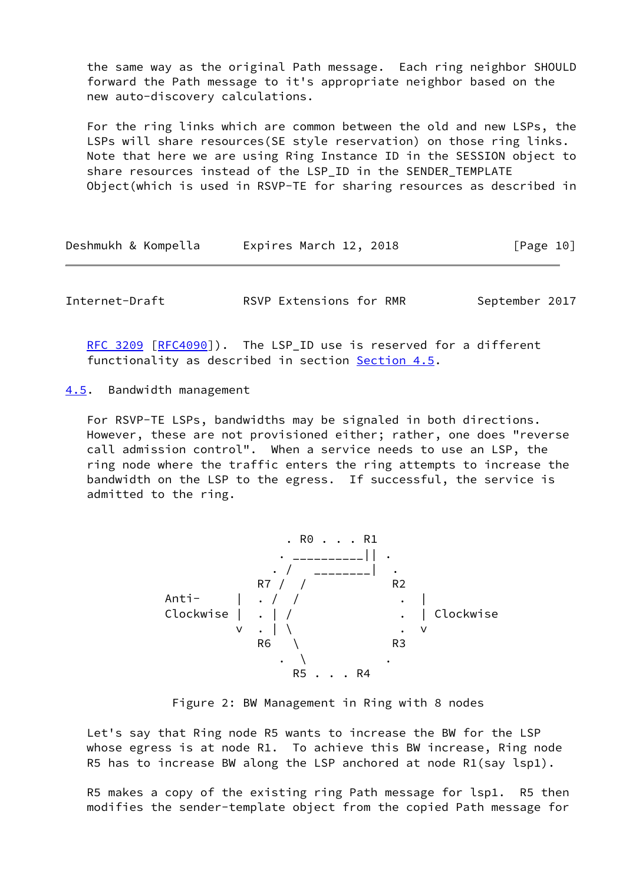the same way as the original Path message. Each ring neighbor SHOULD forward the Path message to it's appropriate neighbor based on the new auto-discovery calculations.

 For the ring links which are common between the old and new LSPs, the LSPs will share resources(SE style reservation) on those ring links. Note that here we are using Ring Instance ID in the SESSION object to share resources instead of the LSP\_ID in the SENDER\_TEMPLATE Object(which is used in RSVP-TE for sharing resources as described in

| Deshmukh & Kompella | Expires March 12, 2018 | [Page 10] |
|---------------------|------------------------|-----------|
|---------------------|------------------------|-----------|

<span id="page-11-1"></span>Internet-Draft **RSVP Extensions for RMR** September 2017

[RFC 3209](https://datatracker.ietf.org/doc/pdf/rfc3209) [\[RFC4090](https://datatracker.ietf.org/doc/pdf/rfc4090)]). The LSP ID use is reserved for a different functionality as described in section [Section 4.5](#page-11-0).

<span id="page-11-0"></span>[4.5](#page-11-0). Bandwidth management

 For RSVP-TE LSPs, bandwidths may be signaled in both directions. However, these are not provisioned either; rather, one does "reverse call admission control". When a service needs to use an LSP, the ring node where the traffic enters the ring attempts to increase the bandwidth on the LSP to the egress. If successful, the service is admitted to the ring.



Figure 2: BW Management in Ring with 8 nodes

 Let's say that Ring node R5 wants to increase the BW for the LSP whose egress is at node R1. To achieve this BW increase, Ring node R5 has to increase BW along the LSP anchored at node R1(say lsp1).

 R5 makes a copy of the existing ring Path message for lsp1. R5 then modifies the sender-template object from the copied Path message for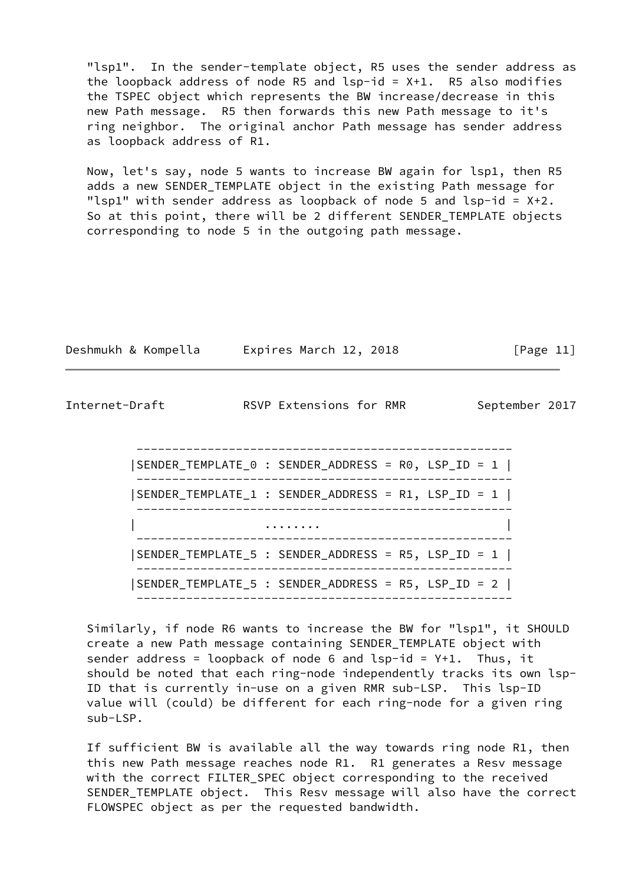"lsp1". In the sender-template object, R5 uses the sender address as the loopback address of node R5 and  $lsp-id = X+1$ . R5 also modifies the TSPEC object which represents the BW increase/decrease in this new Path message. R5 then forwards this new Path message to it's ring neighbor. The original anchor Path message has sender address as loopback address of R1.

 Now, let's say, node 5 wants to increase BW again for lsp1, then R5 adds a new SENDER\_TEMPLATE object in the existing Path message for "lsp1" with sender address as loopback of node 5 and lsp-id =  $X+2$ . So at this point, there will be 2 different SENDER\_TEMPLATE objects corresponding to node 5 in the outgoing path message.

| Deshmukh & Kompella |  | Expires March 12, 2018 |  | [Page 11] |  |
|---------------------|--|------------------------|--|-----------|--|
|                     |  |                        |  |           |  |

Internet-Draft **RSVP Extensions for RMR** September 2017

 ----------------------------------------------------- |SENDER\_TEMPLATE\_0 : SENDER\_ADDRESS = R0, LSP\_ID = 1 | ----------------------------------------------------- |SENDER\_TEMPLATE\_1 : SENDER\_ADDRESS = R1, LSP\_ID = 1 | ----------------------------------------------------- | ........ | ----------------------------------------------------- |SENDER\_TEMPLATE\_5 : SENDER\_ADDRESS = R5, LSP\_ID = 1 | ----------------------------------------------------- |SENDER\_TEMPLATE\_5 : SENDER\_ADDRESS = R5, LSP\_ID = 2 | -----------------------------------------------------

 Similarly, if node R6 wants to increase the BW for "lsp1", it SHOULD create a new Path message containing SENDER\_TEMPLATE object with sender address = loopback of node 6 and  $lsp-id = Y+1$ . Thus, it should be noted that each ring-node independently tracks its own lsp- ID that is currently in-use on a given RMR sub-LSP. This lsp-ID value will (could) be different for each ring-node for a given ring sub-LSP.

 If sufficient BW is available all the way towards ring node R1, then this new Path message reaches node R1. R1 generates a Resv message with the correct FILTER\_SPEC object corresponding to the received SENDER\_TEMPLATE object. This Resv message will also have the correct FLOWSPEC object as per the requested bandwidth.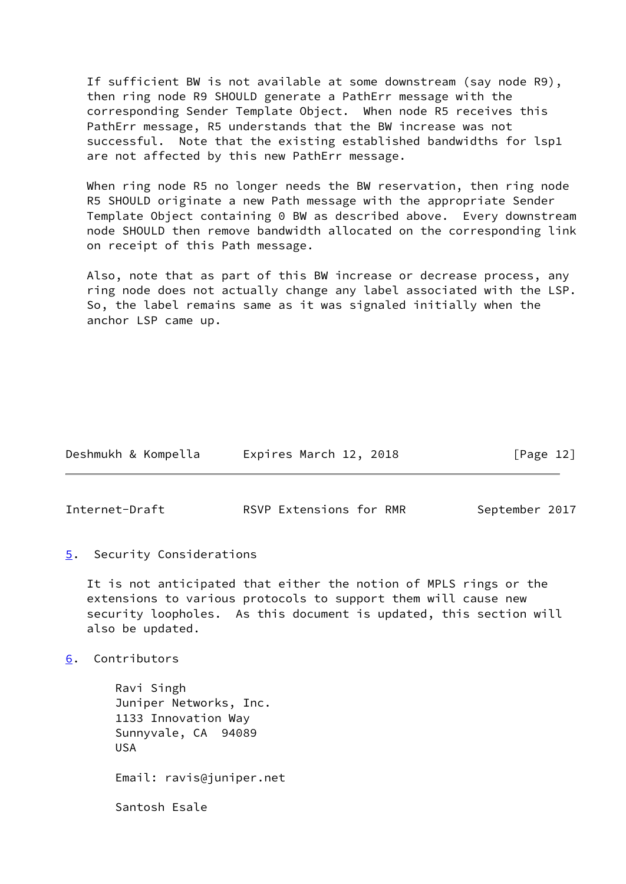If sufficient BW is not available at some downstream (say node R9), then ring node R9 SHOULD generate a PathErr message with the corresponding Sender Template Object. When node R5 receives this PathErr message, R5 understands that the BW increase was not successful. Note that the existing established bandwidths for lsp1 are not affected by this new PathErr message.

 When ring node R5 no longer needs the BW reservation, then ring node R5 SHOULD originate a new Path message with the appropriate Sender Template Object containing 0 BW as described above. Every downstream node SHOULD then remove bandwidth allocated on the corresponding link on receipt of this Path message.

 Also, note that as part of this BW increase or decrease process, any ring node does not actually change any label associated with the LSP. So, the label remains same as it was signaled initially when the anchor LSP came up.

| Deshmukh & Kompella | Expires March 12, 2018 | [Page 12] |
|---------------------|------------------------|-----------|
|---------------------|------------------------|-----------|

<span id="page-13-1"></span>Internet-Draft **RSVP Extensions for RMR** September 2017

<span id="page-13-0"></span>[5](#page-13-0). Security Considerations

 It is not anticipated that either the notion of MPLS rings or the extensions to various protocols to support them will cause new security loopholes. As this document is updated, this section will also be updated.

<span id="page-13-2"></span>[6](#page-13-2). Contributors

 Ravi Singh Juniper Networks, Inc. 1133 Innovation Way Sunnyvale, CA 94089 USA Email: ravis@juniper.net Santosh Esale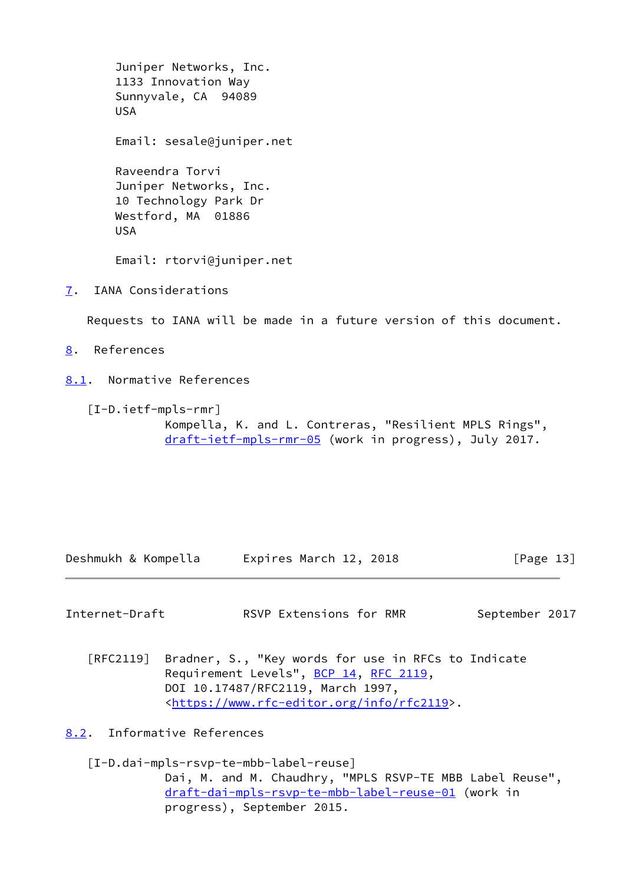Juniper Networks, Inc. 1133 Innovation Way Sunnyvale, CA 94089 USA Email: sesale@juniper.net Raveendra Torvi Juniper Networks, Inc. 10 Technology Park Dr Westford, MA 01886 USA Email: rtorvi@juniper.net

<span id="page-14-0"></span>[7](#page-14-0). IANA Considerations

Requests to IANA will be made in a future version of this document.

<span id="page-14-1"></span>[8](#page-14-1). References

<span id="page-14-2"></span>[8.1](#page-14-2). Normative References

 [I-D.ietf-mpls-rmr] Kompella, K. and L. Contreras, "Resilient MPLS Rings", [draft-ietf-mpls-rmr-05](https://datatracker.ietf.org/doc/pdf/draft-ietf-mpls-rmr-05) (work in progress), July 2017.

Deshmukh & Kompella Expires March 12, 2018 [Page 13]

<span id="page-14-4"></span>Internet-Draft **RSVP Extensions for RMR** September 2017

 [RFC2119] Bradner, S., "Key words for use in RFCs to Indicate Requirement Levels", [BCP 14](https://datatracker.ietf.org/doc/pdf/bcp14), [RFC 2119](https://datatracker.ietf.org/doc/pdf/rfc2119), DOI 10.17487/RFC2119, March 1997, <[https://www.rfc-editor.org/info/rfc2119>](https://www.rfc-editor.org/info/rfc2119).

<span id="page-14-3"></span>[8.2](#page-14-3). Informative References

 [I-D.dai-mpls-rsvp-te-mbb-label-reuse] Dai, M. and M. Chaudhry, "MPLS RSVP-TE MBB Label Reuse", [draft-dai-mpls-rsvp-te-mbb-label-reuse-01](https://datatracker.ietf.org/doc/pdf/draft-dai-mpls-rsvp-te-mbb-label-reuse-01) (work in progress), September 2015.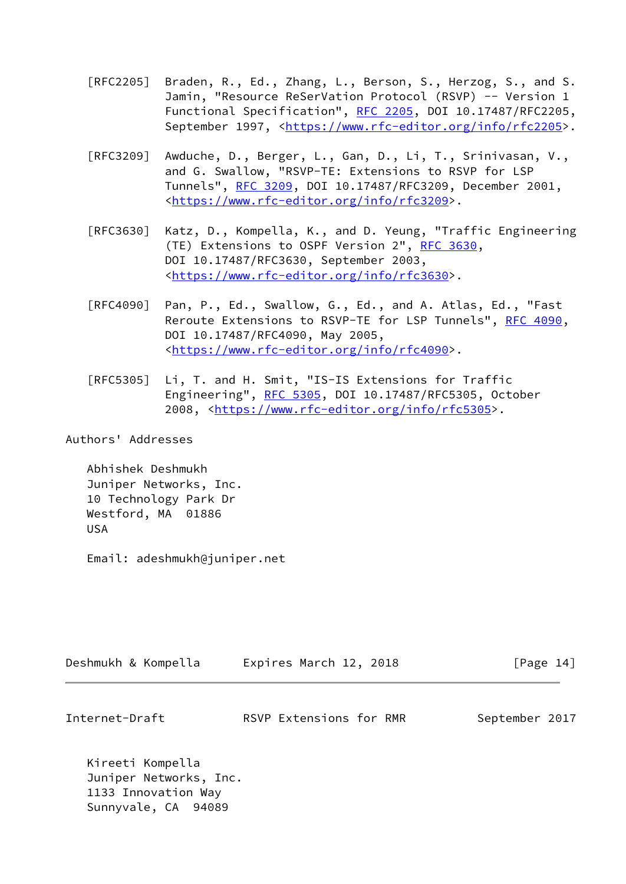- [RFC2205] Braden, R., Ed., Zhang, L., Berson, S., Herzog, S., and S. Jamin, "Resource ReSerVation Protocol (RSVP) -- Version 1 Functional Specification", [RFC 2205](https://datatracker.ietf.org/doc/pdf/rfc2205), DOI 10.17487/RFC2205, September 1997, <[https://www.rfc-editor.org/info/rfc2205>](https://www.rfc-editor.org/info/rfc2205).
- [RFC3209] Awduche, D., Berger, L., Gan, D., Li, T., Srinivasan, V., and G. Swallow, "RSVP-TE: Extensions to RSVP for LSP Tunnels", [RFC 3209](https://datatracker.ietf.org/doc/pdf/rfc3209), DOI 10.17487/RFC3209, December 2001, <[https://www.rfc-editor.org/info/rfc3209>](https://www.rfc-editor.org/info/rfc3209).
- [RFC3630] Katz, D., Kompella, K., and D. Yeung, "Traffic Engineering (TE) Extensions to OSPF Version 2", [RFC 3630,](https://datatracker.ietf.org/doc/pdf/rfc3630) DOI 10.17487/RFC3630, September 2003, <[https://www.rfc-editor.org/info/rfc3630>](https://www.rfc-editor.org/info/rfc3630).
- [RFC4090] Pan, P., Ed., Swallow, G., Ed., and A. Atlas, Ed., "Fast Reroute Extensions to RSVP-TE for LSP Tunnels", [RFC 4090,](https://datatracker.ietf.org/doc/pdf/rfc4090) DOI 10.17487/RFC4090, May 2005, <[https://www.rfc-editor.org/info/rfc4090>](https://www.rfc-editor.org/info/rfc4090).
- [RFC5305] Li, T. and H. Smit, "IS-IS Extensions for Traffic Engineering", [RFC 5305](https://datatracker.ietf.org/doc/pdf/rfc5305), DOI 10.17487/RFC5305, October 2008, [<https://www.rfc-editor.org/info/rfc5305](https://www.rfc-editor.org/info/rfc5305)>.

Authors' Addresses

 Abhishek Deshmukh Juniper Networks, Inc. 10 Technology Park Dr Westford, MA 01886 USA

Email: adeshmukh@juniper.net

| Deshmukh & Kompella | Expires March 12, 2018 | [Page 14] |
|---------------------|------------------------|-----------|
|                     |                        |           |

Internet-Draft RSVP Extensions for RMR September 2017

 Kireeti Kompella Juniper Networks, Inc. 1133 Innovation Way Sunnyvale, CA 94089